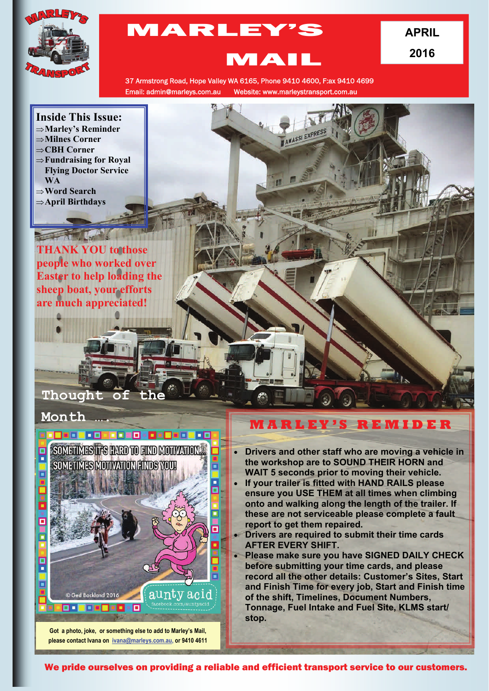

# MARLEY'S

**APRIL 2016** 

## MAIL

37 Armstrong Road, Hope Valley WA 6165, Phone 9410 4600, F:ax 9410 4699 Email: admin@marleys.com.au Website: www.marleystransport.com.au

#### **Inside This Issue: Marley's Reminder**

- **Milnes Corner**
- **CBH Corner**
- 
- **Fundraising for Royal Flying Doctor Service WA**
- **Word Search**
- **April Birthdays**

#### **THANK YOU to those people who worked over Easter to help loading the sheep boat, your efforts are much appreciated!**

 $\sqrt{1-x^2}$ 

## Thought of

#### **Month ….**



**Got a photo, joke, or something else to add to Marley's Mail, please contact Ivana on [ivana@marleys.com.au,](mailto:ivana@marleys.com.au) or 9410 4611**

### **M A R L E Y ' S R E M I D E R**

- **Drivers and other staff who are moving a vehicle in the workshop are to SOUND THEIR HORN and WAIT 5 seconds prior to moving their vehicle.**
- **If your trailer is fitted with HAND RAILS please ensure you USE THEM at all times when climbing onto and walking along the length of the trailer. If these are not serviceable please complete a fault report to get them repaired.**
- **Drivers are required to submit their time cards AFTER EVERY SHIFT.**
- **Please make sure you have SIGNED DAILY CHECK before submitting your time cards, and please record all the other details: Customer's Sites, Start and Finish Time for every job, Start and Finish time of the shift, Timelines, Document Numbers, Tonnage, Fuel Intake and Fuel Site, KLMS start/ stop.**

We pride ourselves on providing a reliable and efficient transport service to our customers.